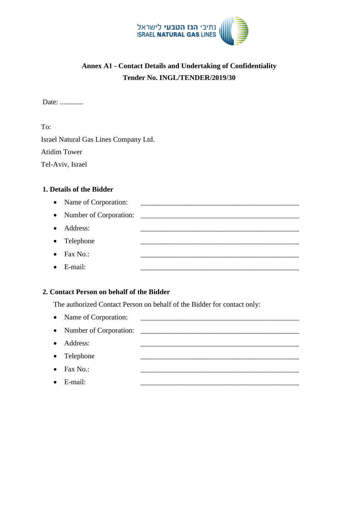

# **Annex A1 - Contact Details and Undertaking of Confidentiality Tender No. INGL/TENDER/2019/30**

Date: .............

To: Israel Natural Gas Lines Company Ltd. Atidim Tower Tel-Aviv, Israel

#### **1. Details of the Bidder**

• Name of Corporation: Number of Corporation: \_\_\_\_\_\_\_\_\_\_\_\_\_\_\_\_\_\_\_\_\_\_\_\_\_\_\_\_\_\_\_\_\_\_\_\_\_\_\_\_\_\_\_\_ • Address: • Telephone  $\bullet$  Fax No.:  $\bullet$  E-mail:

### **2. Contact Person on behalf of the Bidder**

The authorized Contact Person on behalf of the Bidder for contact only:

- Name of Corporation:
- Number of Corporation:
- Address:
- Telephone
- $\bullet$  Fax No.:
- $\bullet$  E-mail: